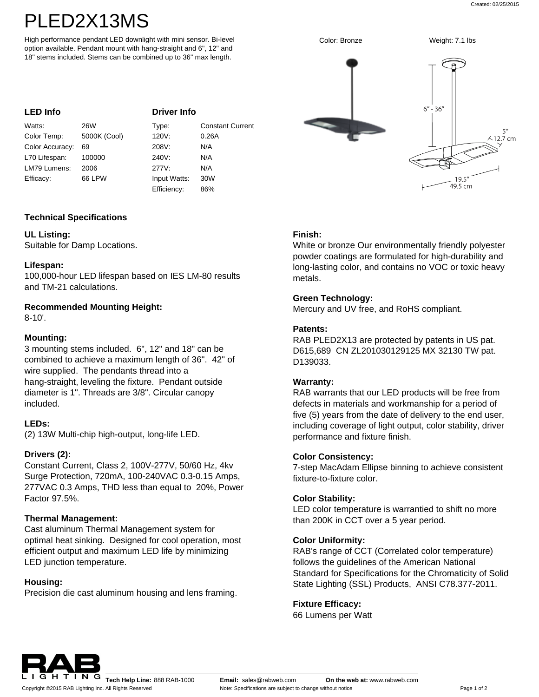# PLED2X13MS

High performance pendant LED downlight with mini sensor. Bi-level option available. Pendant mount with hang-straight and 6", 12" and 18" stems included. Stems can be combined up to 36" max length.

#### **Driver Info**

| Watts:          | 26W          | Type:        | <b>Constant Current</b> |
|-----------------|--------------|--------------|-------------------------|
| Color Temp:     | 5000K (Cool) | 120V:        | 0.26A                   |
| Color Accuracy: | 69           | 208V:        | N/A                     |
| L70 Lifespan:   | 100000       | 240V:        | N/A                     |
| LM79 Lumens:    | 2006         | 277V:        | N/A                     |
| Efficacy:       | 66 LPW       | Input Watts: | 30W                     |
|                 |              | Efficiency:  | 86%                     |

## **Technical Specifications**

## **UL Listing:**

Suitable for Damp Locations.

## **Lifespan:**

100,000-hour LED lifespan based on IES LM-80 results and TM-21 calculations.

# **Recommended Mounting Height:**

8-10'.

## **Mounting:**

3 mounting stems included. 6", 12" and 18" can be combined to achieve a maximum length of 36". 42" of wire supplied. The pendants thread into a hang-straight, leveling the fixture. Pendant outside diameter is 1". Threads are 3/8". Circular canopy included.

## **LEDs:**

(2) 13W Multi-chip high-output, long-life LED.

## **Drivers (2):**

Constant Current, Class 2, 100V-277V, 50/60 Hz, 4kv Surge Protection, 720mA, 100-240VAC 0.3-0.15 Amps, 277VAC 0.3 Amps, THD less than equal to 20%, Power Factor 97.5%.

## **Thermal Management:**

Cast aluminum Thermal Management system for optimal heat sinking. Designed for cool operation, most efficient output and maximum LED life by minimizing LED junction temperature.

## **Housing:**

Precision die cast aluminum housing and lens framing.



## **Finish:**

White or bronze Our environmentally friendly polyester powder coatings are formulated for high-durability and long-lasting color, and contains no VOC or toxic heavy metals.

#### **Green Technology:**

Mercury and UV free, and RoHS compliant.

#### **Patents:**

RAB PLED2X13 are protected by patents in US pat. D615,689 CN ZL201030129125 MX 32130 TW pat. D139033.

## **Warranty:**

RAB warrants that our LED products will be free from defects in materials and workmanship for a period of five (5) years from the date of delivery to the end user, including coverage of light output, color stability, driver performance and fixture finish.

## **Color Consistency:**

7-step MacAdam Ellipse binning to achieve consistent fixture-to-fixture color.

#### **Color Stability:**

LED color temperature is warrantied to shift no more than 200K in CCT over a 5 year period.

#### **Color Uniformity:**

RAB's range of CCT (Correlated color temperature) follows the guidelines of the American National Standard for Specifications for the Chromaticity of Solid State Lighting (SSL) Products, ANSI C78.377-2011.

## **Fixture Efficacy:**

66 Lumens per Watt



Copyright ©2015 RAB Lighting Inc. All Rights Reserved